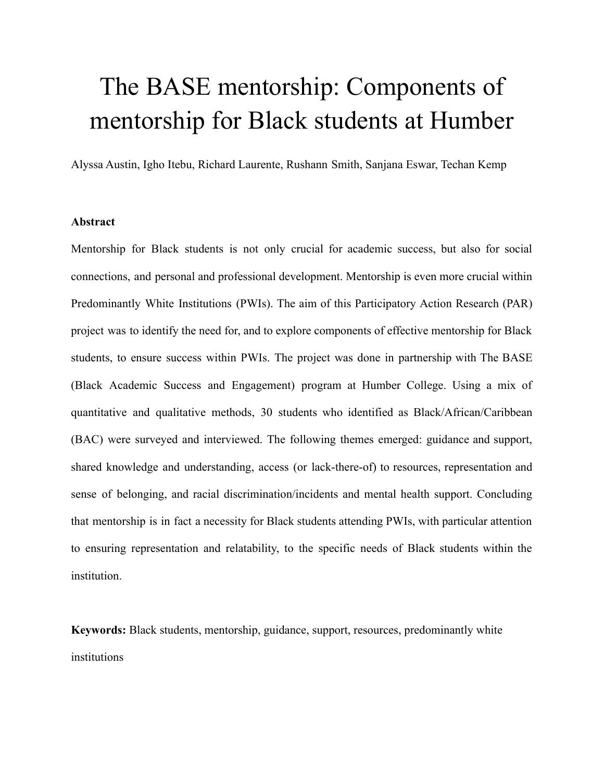# The BASE mentorship: Components of mentorship for Black students at Humber

Alyssa Austin, Igho Itebu, Richard Laurente, Rushann Smith, Sanjana Eswar, Techan Kemp

# **Abstract**

Mentorship for Black students is not only crucial for academic success, but also for social connections, and personal and professional development. Mentorship is even more crucial within Predominantly White Institutions (PWIs). The aim of this Participatory Action Research (PAR) project was to identify the need for, and to explore components of effective mentorship for Black students, to ensure success within PWIs. The project was done in partnership with The BASE (Black Academic Success and Engagement) program at Humber College. Using a mix of quantitative and qualitative methods, 30 students who identified as Black/African/Caribbean (BAC) were surveyed and interviewed. The following themes emerged: guidance and support, shared knowledge and understanding, access (or lack-there-of) to resources, representation and sense of belonging, and racial discrimination/incidents and mental health support. Concluding that mentorship is in fact a necessity for Black students attending PWIs, with particular attention to ensuring representation and relatability, to the specific needs of Black students within the institution.

**Keywords:** Black students, mentorship, guidance, support, resources, predominantly white institutions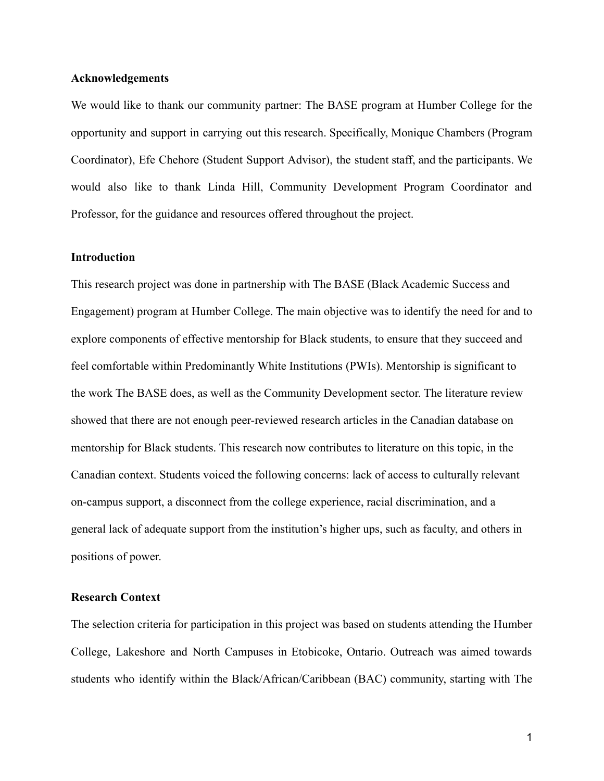# **Acknowledgements**

We would like to thank our community partner: The BASE program at Humber College for the opportunity and support in carrying out this research. Specifically, Monique Chambers (Program Coordinator), Efe Chehore (Student Support Advisor), the student staff, and the participants. We would also like to thank Linda Hill, Community Development Program Coordinator and Professor, for the guidance and resources offered throughout the project.

# **Introduction**

This research project was done in partnership with The BASE (Black Academic Success and Engagement) program at Humber College. The main objective was to identify the need for and to explore components of effective mentorship for Black students, to ensure that they succeed and feel comfortable within Predominantly White Institutions (PWIs). Mentorship is significant to the work The BASE does, as well as the Community Development sector. The literature review showed that there are not enough peer-reviewed research articles in the Canadian database on mentorship for Black students. This research now contributes to literature on this topic, in the Canadian context. Students voiced the following concerns: lack of access to culturally relevant on-campus support, a disconnect from the college experience, racial discrimination, and a general lack of adequate support from the institution's higher ups, such as faculty, and others in positions of power.

# **Research Context**

The selection criteria for participation in this project was based on students attending the Humber College, Lakeshore and North Campuses in Etobicoke, Ontario. Outreach was aimed towards students who identify within the Black/African/Caribbean (BAC) community, starting with The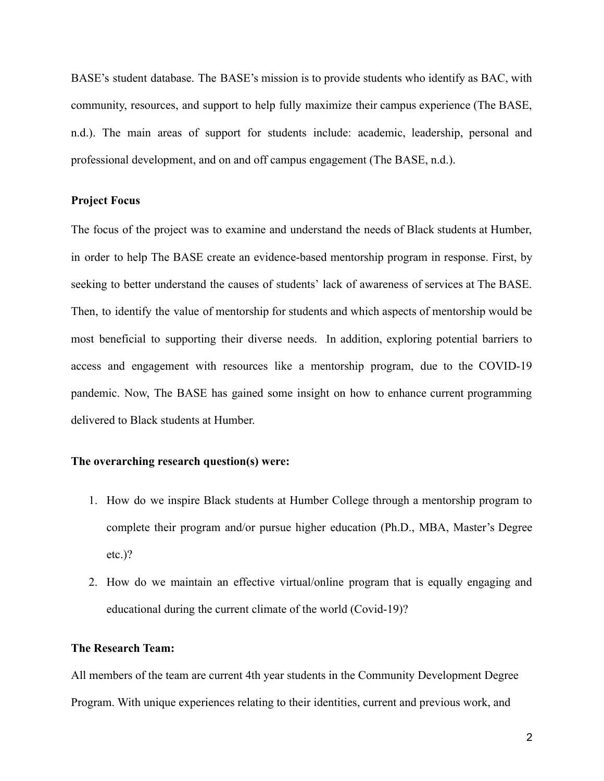BASE's student database. The BASE's mission is to provide students who identify as BAC, with community, resources, and support to help fully maximize their campus experience (The BASE, n.d.). The main areas of support for students include: academic, leadership, personal and professional development, and on and off campus engagement (The BASE, n.d.).

# **Project Focus**

The focus of the project was to examine and understand the needs of Black students at Humber, in order to help The BASE create an evidence-based mentorship program in response. First, by seeking to better understand the causes of students' lack of awareness of services at The BASE. Then, to identify the value of mentorship for students and which aspects of mentorship would be most beneficial to supporting their diverse needs. In addition, exploring potential barriers to access and engagement with resources like a mentorship program, due to the COVID-19 pandemic. Now, The BASE has gained some insight on how to enhance current programming delivered to Black students at Humber.

# **The overarching research question(s) were:**

- 1. How do we inspire Black students at Humber College through a mentorship program to complete their program and/or pursue higher education (Ph.D., MBA, Master's Degree etc.)?
- 2. How do we maintain an effective virtual/online program that is equally engaging and educational during the current climate of the world (Covid-19)?

#### **The Research Team:**

All members of the team are current 4th year students in the Community Development Degree Program. With unique experiences relating to their identities, current and previous work, and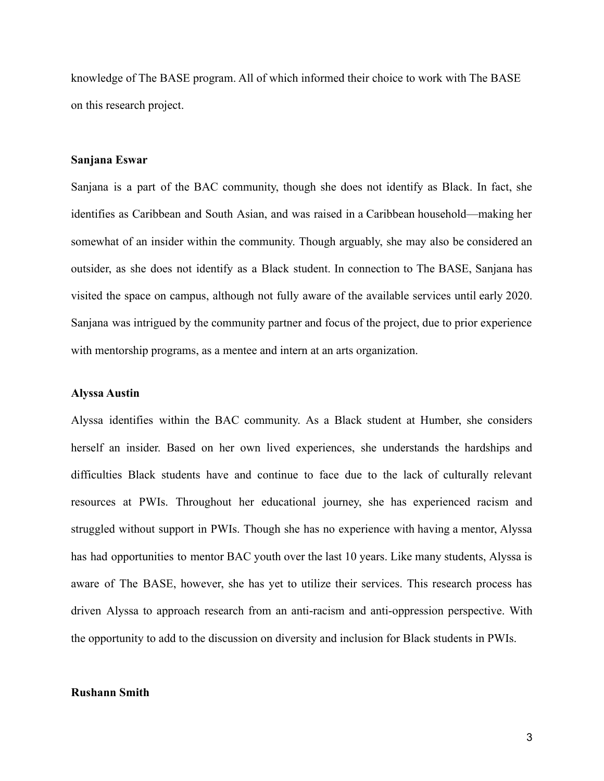knowledge of The BASE program. All of which informed their choice to work with The BASE on this research project.

#### **Sanjana Eswar**

Sanjana is a part of the BAC community, though she does not identify as Black. In fact, she identifies as Caribbean and South Asian, and was raised in a Caribbean household—making her somewhat of an insider within the community. Though arguably, she may also be considered an outsider, as she does not identify as a Black student. In connection to The BASE, Sanjana has visited the space on campus, although not fully aware of the available services until early 2020. Sanjana was intrigued by the community partner and focus of the project, due to prior experience with mentorship programs, as a mentee and intern at an arts organization.

#### **Alyssa Austin**

Alyssa identifies within the BAC community. As a Black student at Humber, she considers herself an insider. Based on her own lived experiences, she understands the hardships and difficulties Black students have and continue to face due to the lack of culturally relevant resources at PWIs. Throughout her educational journey, she has experienced racism and struggled without support in PWIs. Though she has no experience with having a mentor, Alyssa has had opportunities to mentor BAC youth over the last 10 years. Like many students, Alyssa is aware of The BASE, however, she has yet to utilize their services. This research process has driven Alyssa to approach research from an anti-racism and anti-oppression perspective. With the opportunity to add to the discussion on diversity and inclusion for Black students in PWIs.

#### **Rushann Smith**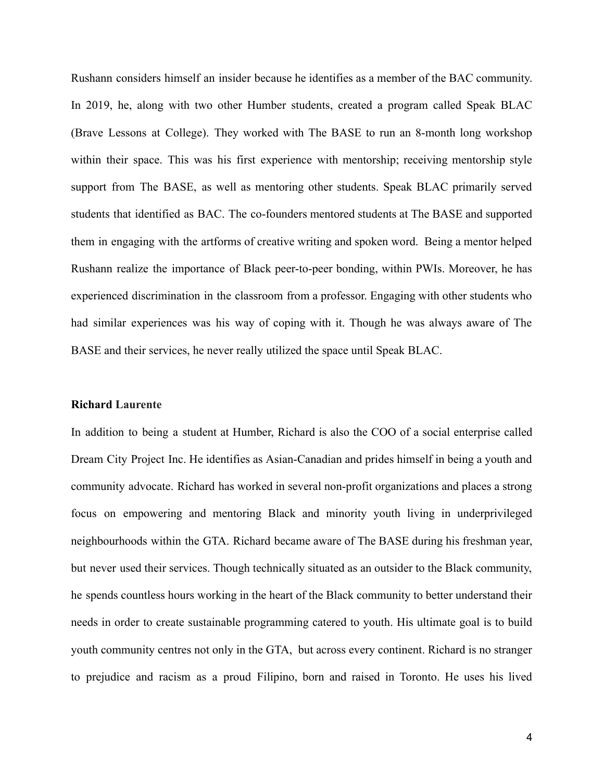Rushann considers himself an insider because he identifies as a member of the BAC community. In 2019, he, along with two other Humber students, created a program called Speak BLAC (Brave Lessons at College). They worked with The BASE to run an 8-month long workshop within their space. This was his first experience with mentorship; receiving mentorship style support from The BASE, as well as mentoring other students. Speak BLAC primarily served students that identified as BAC. The co-founders mentored students at The BASE and supported them in engaging with the artforms of creative writing and spoken word. Being a mentor helped Rushann realize the importance of Black peer-to-peer bonding, within PWIs. Moreover, he has experienced discrimination in the classroom from a professor. Engaging with other students who had similar experiences was his way of coping with it. Though he was always aware of The BASE and their services, he never really utilized the space until Speak BLAC.

#### **Richard Laurente**

In addition to being a student at Humber, Richard is also the COO of a social enterprise called Dream City Project Inc. He identifies as Asian-Canadian and prides himself in being a youth and community advocate. Richard has worked in several non-profit organizations and places a strong focus on empowering and mentoring Black and minority youth living in underprivileged neighbourhoods within the GTA. Richard became aware of The BASE during his freshman year, but never used their services. Though technically situated as an outsider to the Black community, he spends countless hours working in the heart of the Black community to better understand their needs in order to create sustainable programming catered to youth. His ultimate goal is to build youth community centres not only in the GTA, but across every continent. Richard is no stranger to prejudice and racism as a proud Filipino, born and raised in Toronto. He uses his lived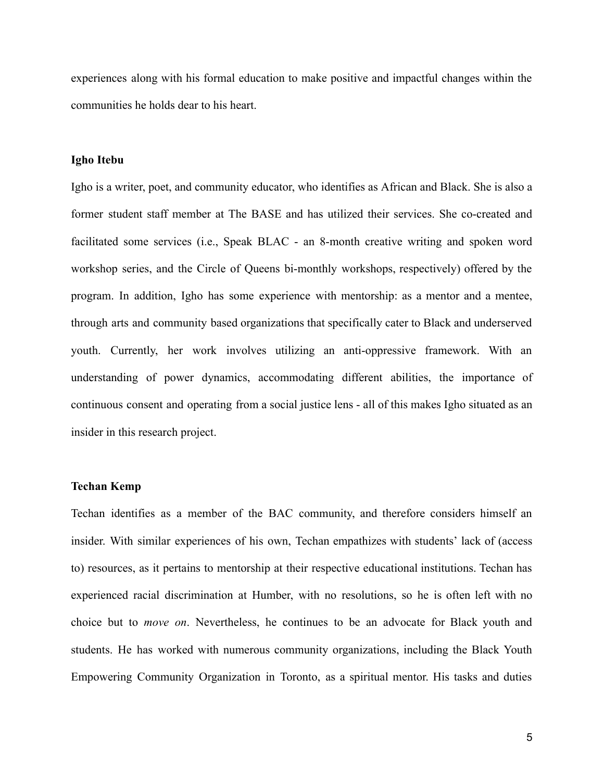experiences along with his formal education to make positive and impactful changes within the communities he holds dear to his heart.

### **Igho Itebu**

Igho is a writer, poet, and community educator, who identifies as African and Black. She is also a former student staff member at The BASE and has utilized their services. She co-created and facilitated some services (i.e., Speak BLAC - an 8-month creative writing and spoken word workshop series, and the Circle of Queens bi-monthly workshops, respectively) offered by the program. In addition, Igho has some experience with mentorship: as a mentor and a mentee, through arts and community based organizations that specifically cater to Black and underserved youth. Currently, her work involves utilizing an anti-oppressive framework. With an understanding of power dynamics, accommodating different abilities, the importance of continuous consent and operating from a social justice lens - all of this makes Igho situated as an insider in this research project.

#### **Techan Kemp**

Techan identifies as a member of the BAC community, and therefore considers himself an insider. With similar experiences of his own, Techan empathizes with students' lack of (access to) resources, as it pertains to mentorship at their respective educational institutions. Techan has experienced racial discrimination at Humber, with no resolutions, so he is often left with no choice but to *move on*. Nevertheless, he continues to be an advocate for Black youth and students. He has worked with numerous community organizations, including the Black Youth Empowering Community Organization in Toronto, as a spiritual mentor. His tasks and duties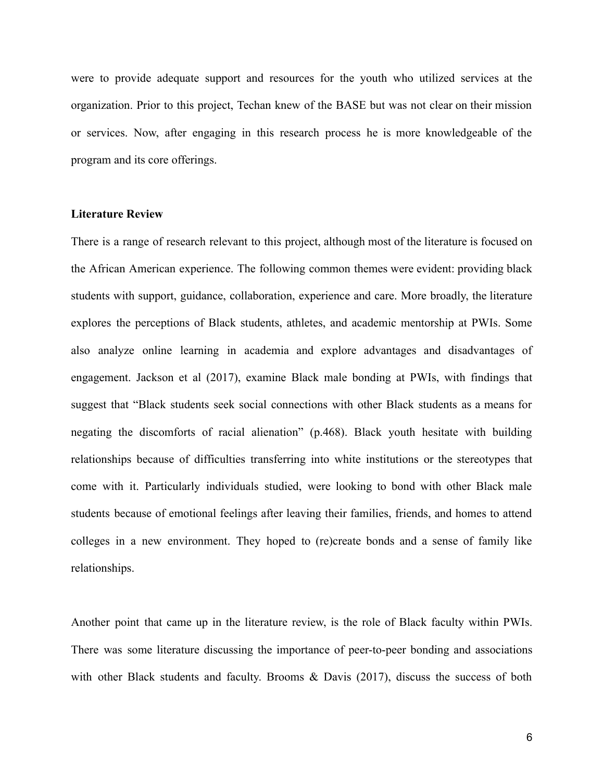were to provide adequate support and resources for the youth who utilized services at the organization. Prior to this project, Techan knew of the BASE but was not clear on their mission or services. Now, after engaging in this research process he is more knowledgeable of the program and its core offerings.

# **Literature Review**

There is a range of research relevant to this project, although most of the literature is focused on the African American experience. The following common themes were evident: providing black students with support, guidance, collaboration, experience and care. More broadly, the literature explores the perceptions of Black students, athletes, and academic mentorship at PWIs. Some also analyze online learning in academia and explore advantages and disadvantages of engagement. Jackson et al (2017), examine Black male bonding at PWIs, with findings that suggest that "Black students seek social connections with other Black students as a means for negating the discomforts of racial alienation" (p.468). Black youth hesitate with building relationships because of difficulties transferring into white institutions or the stereotypes that come with it. Particularly individuals studied, were looking to bond with other Black male students because of emotional feelings after leaving their families, friends, and homes to attend colleges in a new environment. They hoped to (re)create bonds and a sense of family like relationships.

Another point that came up in the literature review, is the role of Black faculty within PWIs. There was some literature discussing the importance of peer-to-peer bonding and associations with other Black students and faculty. Brooms & Davis (2017), discuss the success of both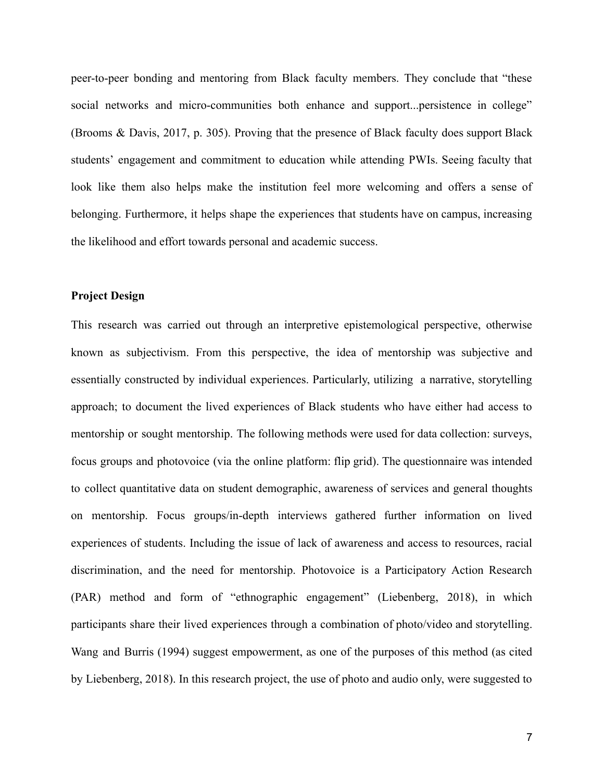peer-to-peer bonding and mentoring from Black faculty members. They conclude that "these social networks and micro-communities both enhance and support...persistence in college" (Brooms & Davis, 2017, p. 305). Proving that the presence of Black faculty does support Black students' engagement and commitment to education while attending PWIs. Seeing faculty that look like them also helps make the institution feel more welcoming and offers a sense of belonging. Furthermore, it helps shape the experiences that students have on campus, increasing the likelihood and effort towards personal and academic success.

# **Project Design**

This research was carried out through an interpretive epistemological perspective, otherwise known as subjectivism. From this perspective, the idea of mentorship was subjective and essentially constructed by individual experiences. Particularly, utilizing a narrative, storytelling approach; to document the lived experiences of Black students who have either had access to mentorship or sought mentorship. The following methods were used for data collection: surveys, focus groups and photovoice (via the online platform: flip grid). The questionnaire was intended to collect quantitative data on student demographic, awareness of services and general thoughts on mentorship. Focus groups/in-depth interviews gathered further information on lived experiences of students. Including the issue of lack of awareness and access to resources, racial discrimination, and the need for mentorship. Photovoice is a Participatory Action Research (PAR) method and form of "ethnographic engagement" (Liebenberg, 2018), in which participants share their lived experiences through a combination of photo/video and storytelling. Wang and Burris (1994) suggest empowerment, as one of the purposes of this method (as cited by Liebenberg, 2018). In this research project, the use of photo and audio only, were suggested to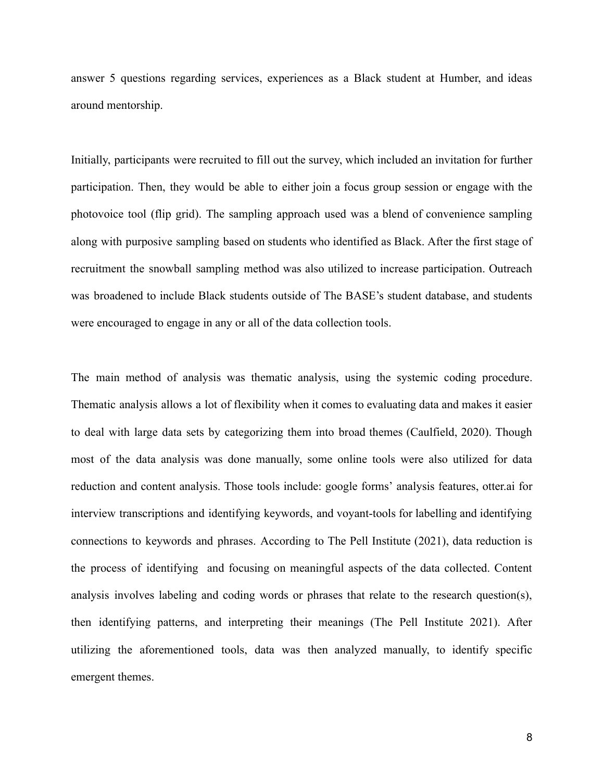answer 5 questions regarding services, experiences as a Black student at Humber, and ideas around mentorship.

Initially, participants were recruited to fill out the survey, which included an invitation for further participation. Then, they would be able to either join a focus group session or engage with the photovoice tool (flip grid). The sampling approach used was a blend of convenience sampling along with purposive sampling based on students who identified as Black. After the first stage of recruitment the snowball sampling method was also utilized to increase participation. Outreach was broadened to include Black students outside of The BASE's student database, and students were encouraged to engage in any or all of the data collection tools.

The main method of analysis was thematic analysis, using the systemic coding procedure. Thematic analysis allows a lot of flexibility when it comes to evaluating data and makes it easier to deal with large data sets by categorizing them into broad themes (Caulfield, 2020). Though most of the data analysis was done manually, some online tools were also utilized for data reduction and content analysis. Those tools include: google forms' analysis features, otter.ai for interview transcriptions and identifying keywords, and voyant-tools for labelling and identifying connections to keywords and phrases. According to The Pell Institute (2021), data reduction is the process of identifying and focusing on meaningful aspects of the data collected. Content analysis involves labeling and coding words or phrases that relate to the research question(s), then identifying patterns, and interpreting their meanings (The Pell Institute 2021). After utilizing the aforementioned tools, data was then analyzed manually, to identify specific emergent themes.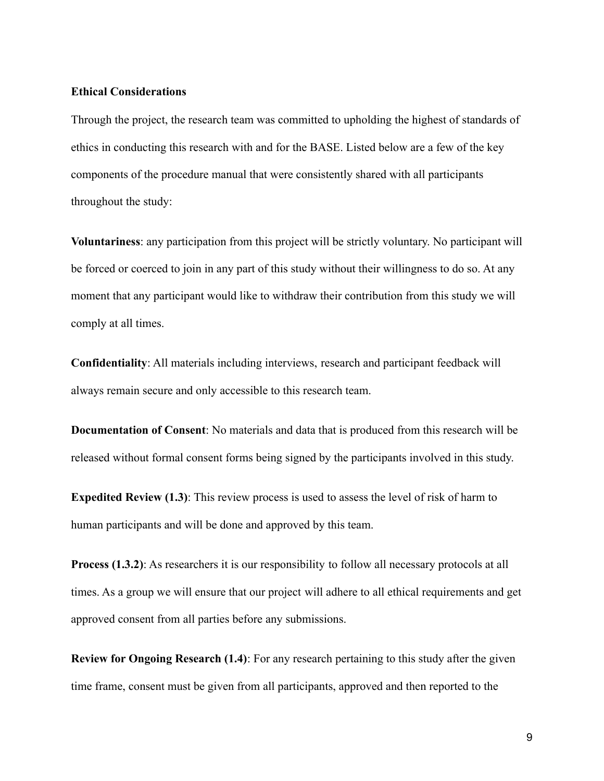#### **Ethical Considerations**

Through the project, the research team was committed to upholding the highest of standards of ethics in conducting this research with and for the BASE. Listed below are a few of the key components of the procedure manual that were consistently shared with all participants throughout the study:

**Voluntariness**: any participation from this project will be strictly voluntary. No participant will be forced or coerced to join in any part of this study without their willingness to do so. At any moment that any participant would like to withdraw their contribution from this study we will comply at all times.

**Confidentiality**: All materials including interviews, research and participant feedback will always remain secure and only accessible to this research team.

**Documentation of Consent**: No materials and data that is produced from this research will be released without formal consent forms being signed by the participants involved in this study.

**Expedited Review (1.3)**: This review process is used to assess the level of risk of harm to human participants and will be done and approved by this team.

**Process (1.3.2)**: As researchers it is our responsibility to follow all necessary protocols at all times. As a group we will ensure that our project will adhere to all ethical requirements and get approved consent from all parties before any submissions.

**Review for Ongoing Research (1.4)**: For any research pertaining to this study after the given time frame, consent must be given from all participants, approved and then reported to the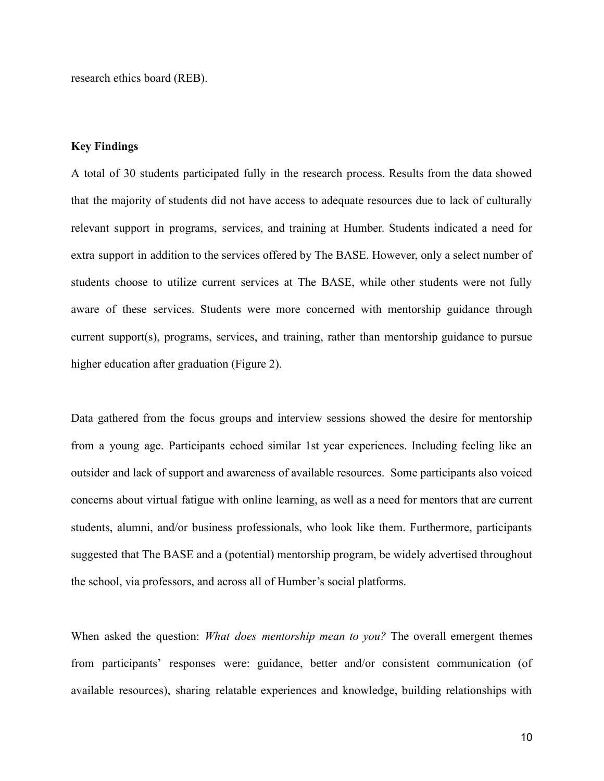research ethics board (REB).

# **Key Findings**

A total of 30 students participated fully in the research process. Results from the data showed that the majority of students did not have access to adequate resources due to lack of culturally relevant support in programs, services, and training at Humber. Students indicated a need for extra support in addition to the services offered by The BASE. However, only a select number of students choose to utilize current services at The BASE, while other students were not fully aware of these services. Students were more concerned with mentorship guidance through current support(s), programs, services, and training, rather than mentorship guidance to pursue higher education after graduation (Figure 2).

Data gathered from the focus groups and interview sessions showed the desire for mentorship from a young age. Participants echoed similar 1st year experiences. Including feeling like an outsider and lack of support and awareness of available resources. Some participants also voiced concerns about virtual fatigue with online learning, as well as a need for mentors that are current students, alumni, and/or business professionals, who look like them. Furthermore, participants suggested that The BASE and a (potential) mentorship program, be widely advertised throughout the school, via professors, and across all of Humber's social platforms.

When asked the question: *What does mentorship mean to you?* The overall emergent themes from participants' responses were: guidance, better and/or consistent communication (of available resources), sharing relatable experiences and knowledge, building relationships with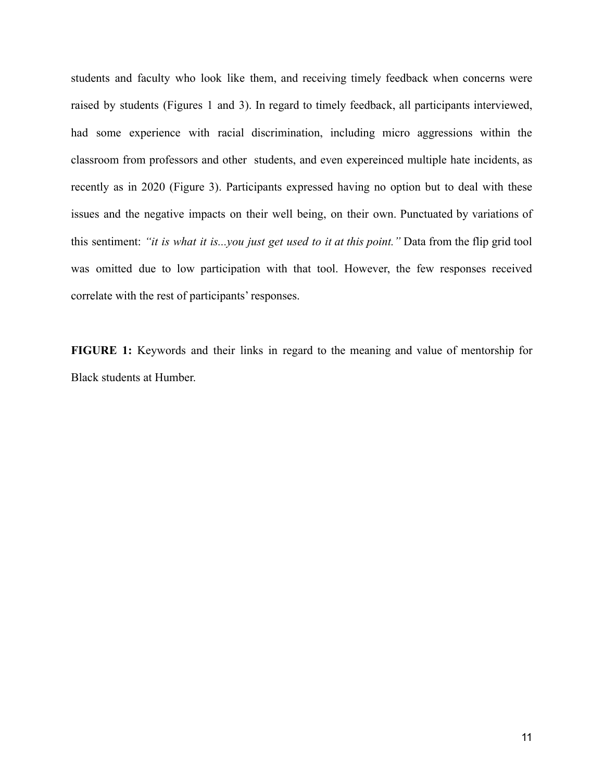students and faculty who look like them, and receiving timely feedback when concerns were raised by students (Figures 1 and 3). In regard to timely feedback, all participants interviewed, had some experience with racial discrimination, including micro aggressions within the classroom from professors and other students, and even expereinced multiple hate incidents, as recently as in 2020 (Figure 3). Participants expressed having no option but to deal with these issues and the negative impacts on their well being, on their own. Punctuated by variations of this sentiment: *"it is what it is...you just get used to it at this point."* Data from the flip grid tool was omitted due to low participation with that tool. However, the few responses received correlate with the rest of participants' responses.

**FIGURE 1:** Keywords and their links in regard to the meaning and value of mentorship for Black students at Humber.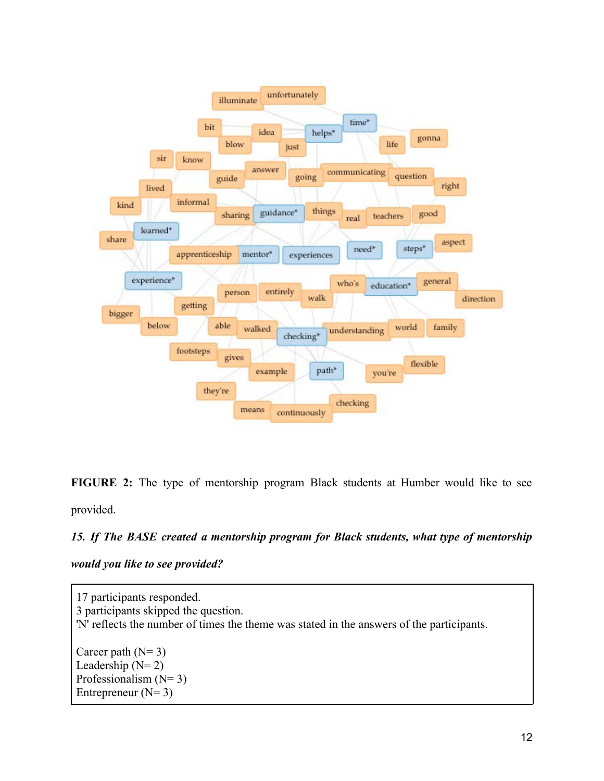

**FIGURE 2:** The type of mentorship program Black students at Humber would like to see provided.

# *15. If The BASE created a mentorship program for Black students, what type of mentorship*

*would you like to see provided?*

17 participants responded. 3 participants skipped the question. 'N' reflects the number of times the theme was stated in the answers of the participants. Career path  $(N= 3)$ Leadership  $(N=2)$ Professionalism  $(N= 3)$ Entrepreneur  $(N= 3)$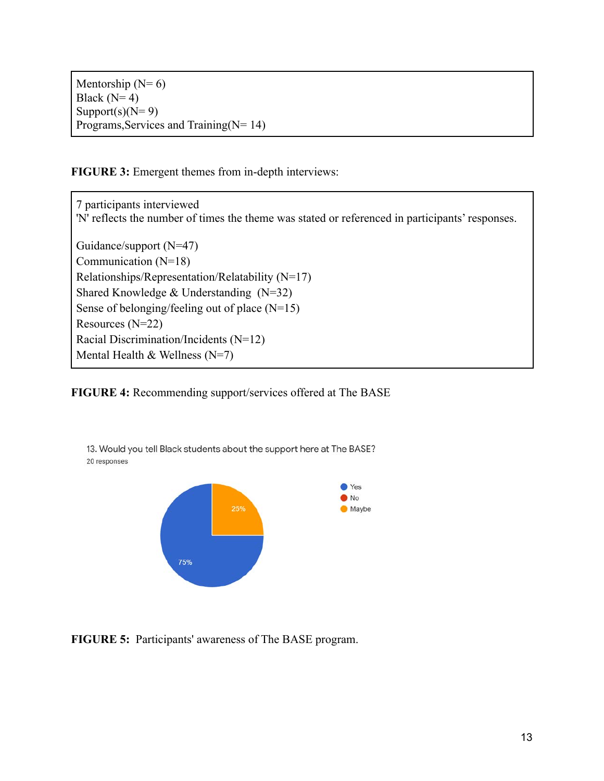Mentorship  $(N=6)$ Black  $(N=4)$ Support(s)( $N=9$ ) Programs,Services and Training(N= 14)

**FIGURE 3:** Emergent themes from in-depth interviews:

7 participants interviewed 'N' reflects the number of times the theme was stated or referenced in participants' responses. Guidance/support (N=47) Communication (N=18) Relationships/Representation/Relatability (N=17) Shared Knowledge & Understanding (N=32) Sense of belonging/feeling out of place (N=15) Resources (N=22) Racial Discrimination/Incidents (N=12) Mental Health  $&$  Wellness (N=7)

**FIGURE 4:** Recommending support/services offered at The BASE



**FIGURE 5:** Participants' awareness of The BASE program.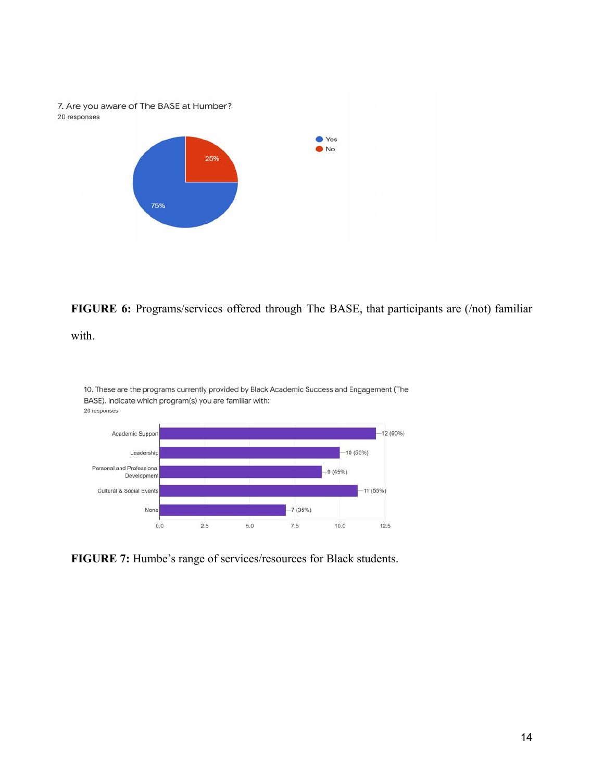

**FIGURE 6:** Programs/services offered through The BASE, that participants are (/not) familiar

with.



10. These are the programs currently provided by Black Academic Success and Engagement (The

**FIGURE 7:** Humbe's range of services/resources for Black students.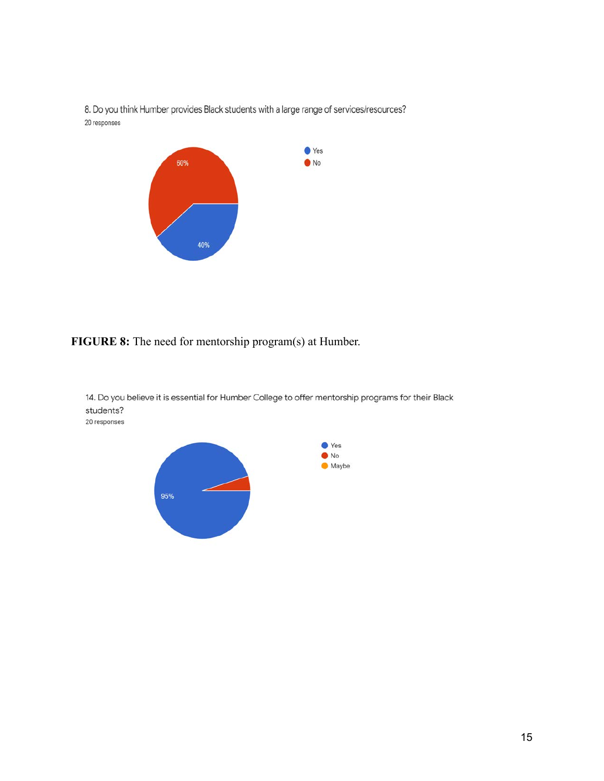

8. Do you think Humber provides Black students with a large range of services/resources? 20 responses

**FIGURE 8:** The need for mentorship program(s) at Humber.



14. Do you believe it is essential for Humber College to offer mentorship programs for their Black students? 20 responses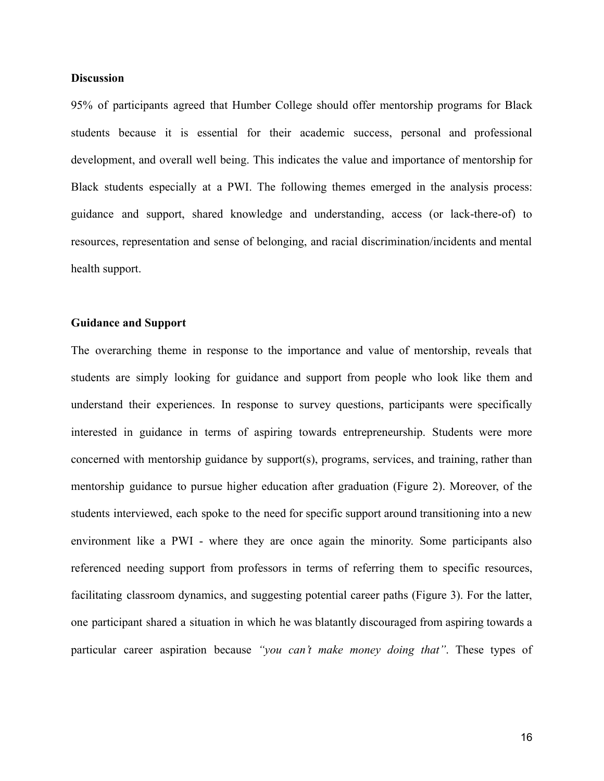# **Discussion**

95% of participants agreed that Humber College should offer mentorship programs for Black students because it is essential for their academic success, personal and professional development, and overall well being. This indicates the value and importance of mentorship for Black students especially at a PWI. The following themes emerged in the analysis process: guidance and support, shared knowledge and understanding, access (or lack-there-of) to resources, representation and sense of belonging, and racial discrimination/incidents and mental health support.

# **Guidance and Support**

The overarching theme in response to the importance and value of mentorship, reveals that students are simply looking for guidance and support from people who look like them and understand their experiences. In response to survey questions, participants were specifically interested in guidance in terms of aspiring towards entrepreneurship. Students were more concerned with mentorship guidance by support(s), programs, services, and training, rather than mentorship guidance to pursue higher education after graduation (Figure 2). Moreover, of the students interviewed, each spoke to the need for specific support around transitioning into a new environment like a PWI - where they are once again the minority. Some participants also referenced needing support from professors in terms of referring them to specific resources, facilitating classroom dynamics, and suggesting potential career paths (Figure 3). For the latter, one participant shared a situation in which he was blatantly discouraged from aspiring towards a particular career aspiration because *"you can't make money doing that"*. These types of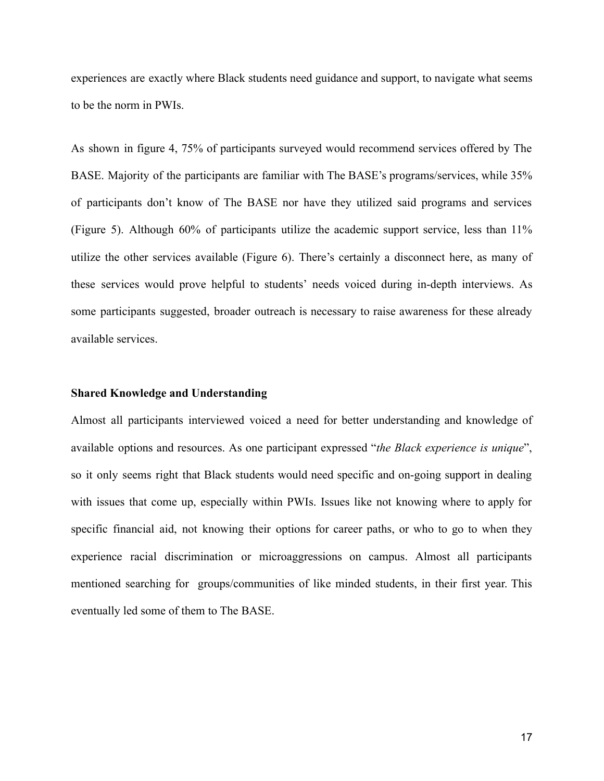experiences are exactly where Black students need guidance and support, to navigate what seems to be the norm in PWIs.

As shown in figure 4, 75% of participants surveyed would recommend services offered by The BASE. Majority of the participants are familiar with The BASE's programs/services, while 35% of participants don't know of The BASE nor have they utilized said programs and services (Figure 5). Although 60% of participants utilize the academic support service, less than 11% utilize the other services available (Figure 6). There's certainly a disconnect here, as many of these services would prove helpful to students' needs voiced during in-depth interviews. As some participants suggested, broader outreach is necessary to raise awareness for these already available services.

#### **Shared Knowledge and Understanding**

Almost all participants interviewed voiced a need for better understanding and knowledge of available options and resources. As one participant expressed "*the Black experience is unique*", so it only seems right that Black students would need specific and on-going support in dealing with issues that come up, especially within PWIs. Issues like not knowing where to apply for specific financial aid, not knowing their options for career paths, or who to go to when they experience racial discrimination or microaggressions on campus. Almost all participants mentioned searching for groups/communities of like minded students, in their first year. This eventually led some of them to The BASE.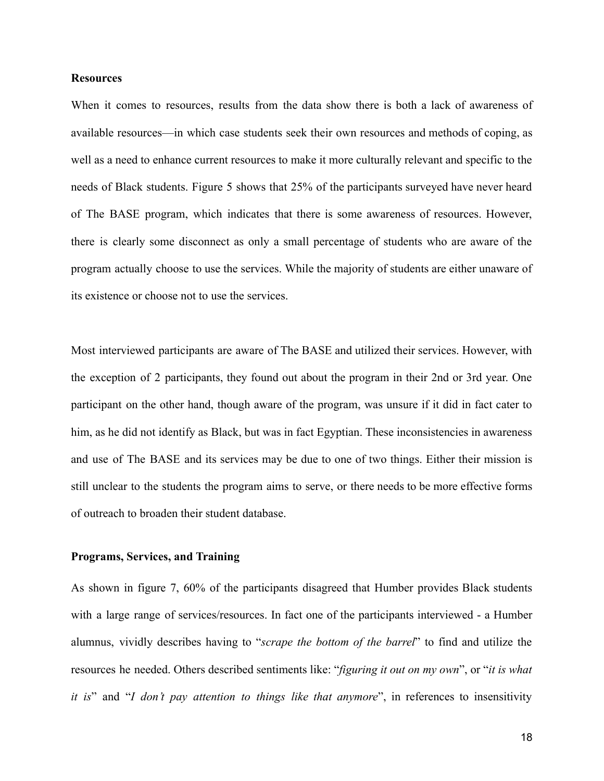# **Resources**

When it comes to resources, results from the data show there is both a lack of awareness of available resources—in which case students seek their own resources and methods of coping, as well as a need to enhance current resources to make it more culturally relevant and specific to the needs of Black students. Figure 5 shows that 25% of the participants surveyed have never heard of The BASE program, which indicates that there is some awareness of resources. However, there is clearly some disconnect as only a small percentage of students who are aware of the program actually choose to use the services. While the majority of students are either unaware of its existence or choose not to use the services.

Most interviewed participants are aware of The BASE and utilized their services. However, with the exception of 2 participants, they found out about the program in their 2nd or 3rd year. One participant on the other hand, though aware of the program, was unsure if it did in fact cater to him, as he did not identify as Black, but was in fact Egyptian. These inconsistencies in awareness and use of The BASE and its services may be due to one of two things. Either their mission is still unclear to the students the program aims to serve, or there needs to be more effective forms of outreach to broaden their student database.

## **Programs, Services, and Training**

As shown in figure 7, 60% of the participants disagreed that Humber provides Black students with a large range of services/resources. In fact one of the participants interviewed - a Humber alumnus, vividly describes having to "*scrape the bottom of the barrel*" to find and utilize the resources he needed. Others described sentiments like: "*figuring it out on my own*", or "*it is what it is*" and "*I don't pay attention to things like that anymore*", in references to insensitivity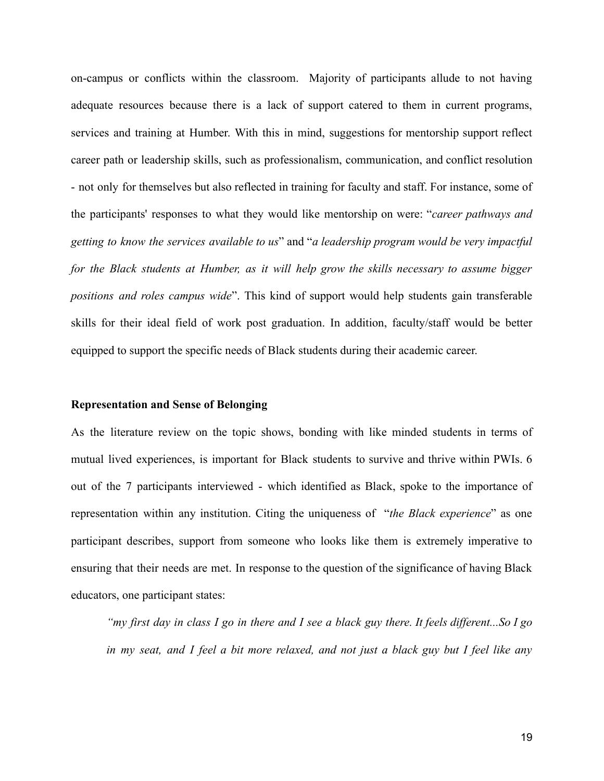on-campus or conflicts within the classroom. Majority of participants allude to not having adequate resources because there is a lack of support catered to them in current programs, services and training at Humber. With this in mind, suggestions for mentorship support reflect career path or leadership skills, such as professionalism, communication, and conflict resolution - not only for themselves but also reflected in training for faculty and staff. For instance, some of the participants' responses to what they would like mentorship on were: "*career pathways and getting to know the services available to us*" and "*a leadership program would be very impactful for the Black students at Humber, as it will help grow the skills necessary to assume bigger positions and roles campus wide*". This kind of support would help students gain transferable skills for their ideal field of work post graduation. In addition, faculty/staff would be better equipped to support the specific needs of Black students during their academic career.

#### **Representation and Sense of Belonging**

As the literature review on the topic shows, bonding with like minded students in terms of mutual lived experiences, is important for Black students to survive and thrive within PWIs. 6 out of the 7 participants interviewed - which identified as Black, spoke to the importance of representation within any institution. Citing the uniqueness of "*the Black experience*" as one participant describes, support from someone who looks like them is extremely imperative to ensuring that their needs are met. In response to the question of the significance of having Black educators, one participant states:

*"my first day in class I go in there and I see a black guy there. It feels different...So I go in my seat, and I feel a bit more relaxed, and not just a black guy but I feel like any*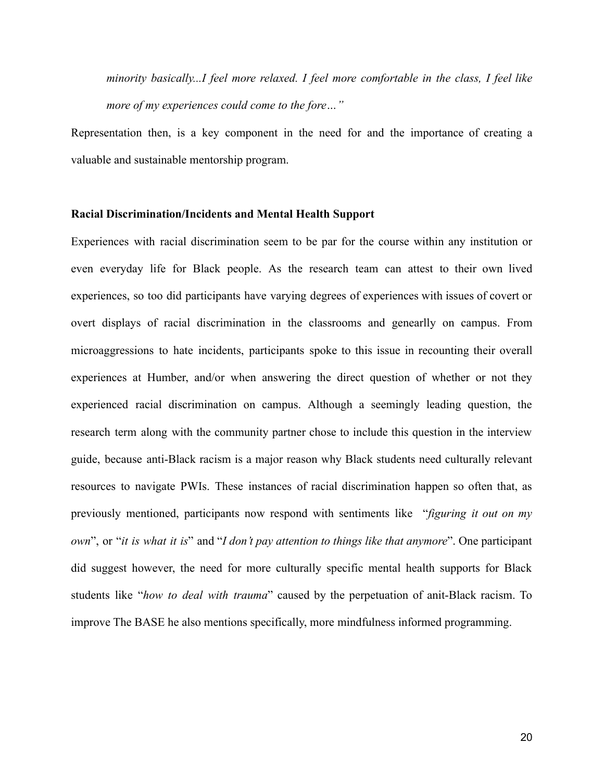*minority basically...I feel more relaxed. I feel more comfortable in the class, I feel like more of my experiences could come to the fore…"*

Representation then, is a key component in the need for and the importance of creating a valuable and sustainable mentorship program.

#### **Racial Discrimination/Incidents and Mental Health Support**

Experiences with racial discrimination seem to be par for the course within any institution or even everyday life for Black people. As the research team can attest to their own lived experiences, so too did participants have varying degrees of experiences with issues of covert or overt displays of racial discrimination in the classrooms and genearlly on campus. From microaggressions to hate incidents, participants spoke to this issue in recounting their overall experiences at Humber, and/or when answering the direct question of whether or not they experienced racial discrimination on campus. Although a seemingly leading question, the research term along with the community partner chose to include this question in the interview guide, because anti-Black racism is a major reason why Black students need culturally relevant resources to navigate PWIs. These instances of racial discrimination happen so often that, as previously mentioned, participants now respond with sentiments like "*figuring it out on my own*", or "*it is what it is*" and "*I don't pay attention to things like that anymore*". One participant did suggest however, the need for more culturally specific mental health supports for Black students like "*how to deal with trauma*" caused by the perpetuation of anit-Black racism. To improve The BASE he also mentions specifically, more mindfulness informed programming.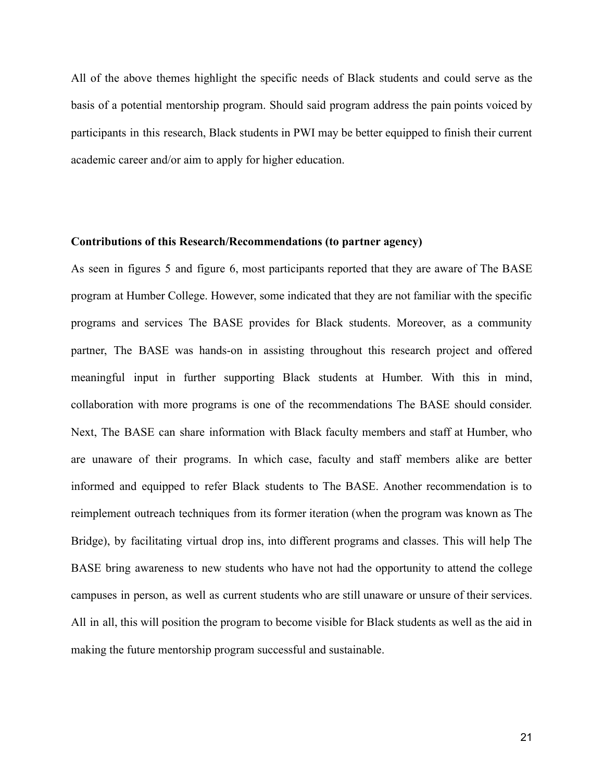All of the above themes highlight the specific needs of Black students and could serve as the basis of a potential mentorship program. Should said program address the pain points voiced by participants in this research, Black students in PWI may be better equipped to finish their current academic career and/or aim to apply for higher education.

# **Contributions of this Research/Recommendations (to partner agency)**

As seen in figures 5 and figure 6, most participants reported that they are aware of The BASE program at Humber College. However, some indicated that they are not familiar with the specific programs and services The BASE provides for Black students. Moreover, as a community partner, The BASE was hands-on in assisting throughout this research project and offered meaningful input in further supporting Black students at Humber. With this in mind, collaboration with more programs is one of the recommendations The BASE should consider. Next, The BASE can share information with Black faculty members and staff at Humber, who are unaware of their programs. In which case, faculty and staff members alike are better informed and equipped to refer Black students to The BASE. Another recommendation is to reimplement outreach techniques from its former iteration (when the program was known as The Bridge), by facilitating virtual drop ins, into different programs and classes. This will help The BASE bring awareness to new students who have not had the opportunity to attend the college campuses in person, as well as current students who are still unaware or unsure of their services. All in all, this will position the program to become visible for Black students as well as the aid in making the future mentorship program successful and sustainable.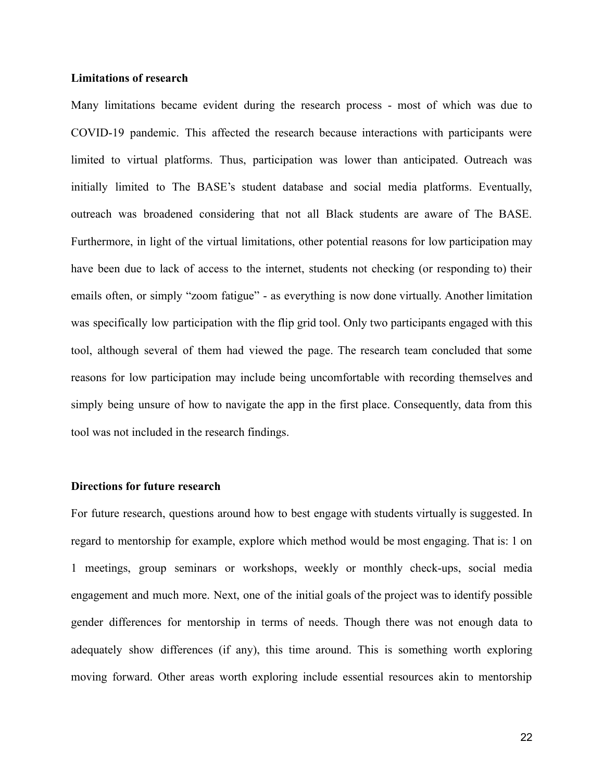#### **Limitations of research**

Many limitations became evident during the research process - most of which was due to COVID-19 pandemic. This affected the research because interactions with participants were limited to virtual platforms. Thus, participation was lower than anticipated. Outreach was initially limited to The BASE's student database and social media platforms. Eventually, outreach was broadened considering that not all Black students are aware of The BASE. Furthermore, in light of the virtual limitations, other potential reasons for low participation may have been due to lack of access to the internet, students not checking (or responding to) their emails often, or simply "zoom fatigue" - as everything is now done virtually. Another limitation was specifically low participation with the flip grid tool. Only two participants engaged with this tool, although several of them had viewed the page. The research team concluded that some reasons for low participation may include being uncomfortable with recording themselves and simply being unsure of how to navigate the app in the first place. Consequently, data from this tool was not included in the research findings.

#### **Directions for future research**

For future research, questions around how to best engage with students virtually is suggested. In regard to mentorship for example, explore which method would be most engaging. That is: 1 on 1 meetings, group seminars or workshops, weekly or monthly check-ups, social media engagement and much more. Next, one of the initial goals of the project was to identify possible gender differences for mentorship in terms of needs. Though there was not enough data to adequately show differences (if any), this time around. This is something worth exploring moving forward. Other areas worth exploring include essential resources akin to mentorship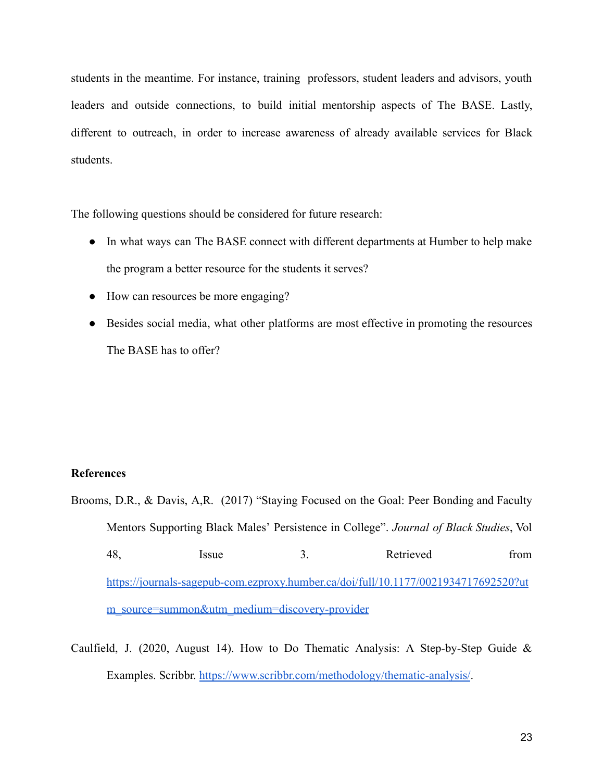students in the meantime. For instance, training professors, student leaders and advisors, youth leaders and outside connections, to build initial mentorship aspects of The BASE. Lastly, different to outreach, in order to increase awareness of already available services for Black students.

The following questions should be considered for future research:

- In what ways can The BASE connect with different departments at Humber to help make the program a better resource for the students it serves?
- How can resources be more engaging?
- Besides social media, what other platforms are most effective in promoting the resources The BASE has to offer?

#### **References**

- Brooms, D.R., & Davis, A,R. (2017) "Staying Focused on the Goal: Peer Bonding and Faculty Mentors Supporting Black Males' Persistence in College". *Journal of Black Studies*, Vol 48, Issue 3. Retrieved from [https://journals-sagepub-com.ezproxy.humber.ca/doi/full/10.1177/0021934717692520?ut](https://journals-sagepub-com.ezproxy.humber.ca/doi/full/10.1177/0021934717692520?utm_source=summon&utm_medium=discovery-provider) [m\\_source=summon&utm\\_medium=discovery-provider](https://journals-sagepub-com.ezproxy.humber.ca/doi/full/10.1177/0021934717692520?utm_source=summon&utm_medium=discovery-provider)
- Caulfield, J. (2020, August 14). How to Do Thematic Analysis: A Step-by-Step Guide  $\&$ Examples. Scribbr. <https://www.scribbr.com/methodology/thematic-analysis/>.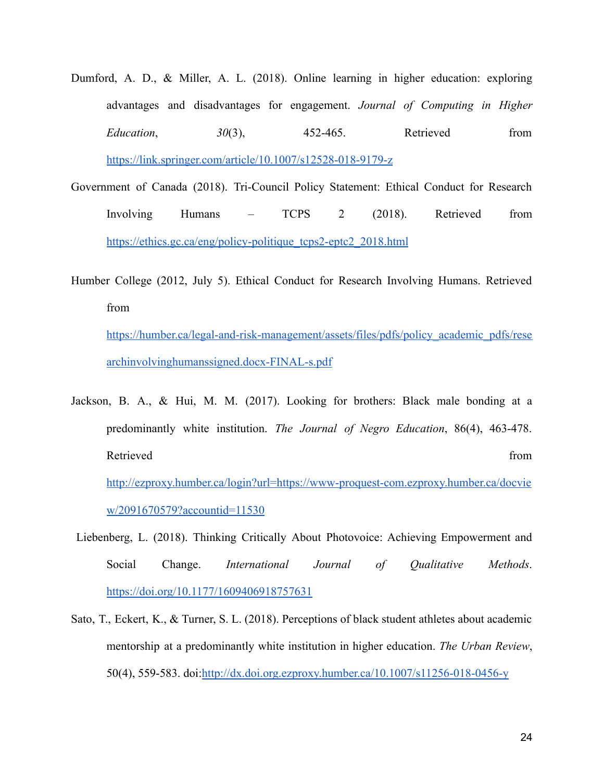- Dumford, A. D., & Miller, A. L. (2018). Online learning in higher education: exploring advantages and disadvantages for engagement. *Journal of Computing in Higher Education*, *30*(3), 452-465. Retrieved from <https://link.springer.com/article/10.1007/s12528-018-9179-z>
- Government of Canada (2018). Tri-Council Policy Statement: Ethical Conduct for Research Involving Humans – TCPS 2 (2018). Retrieved from [https://ethics.gc.ca/eng/policy-politique\\_tcps2-eptc2\\_2018.html](https://ethics.gc.ca/eng/policy-politique_tcps2-eptc2_2018.html)
- Humber College (2012, July 5). Ethical Conduct for Research Involving Humans. Retrieved from

[https://humber.ca/legal-and-risk-management/assets/files/pdfs/policy\\_academic\\_pdfs/rese](https://humber.ca/legal-and-risk-management/assets/files/pdfs/policy_academic_pdfs/researchinvolvinghumanssigned.docx-FINAL-s.pdf) [archinvolvinghumanssigned.docx-FINAL-s.pdf](https://humber.ca/legal-and-risk-management/assets/files/pdfs/policy_academic_pdfs/researchinvolvinghumanssigned.docx-FINAL-s.pdf)

- Jackson, B. A., & Hui, M. M. (2017). Looking for brothers: Black male bonding at a predominantly white institution. *The Journal of Negro Education*, 86(4), 463-478. Retrieved from the state of  $\sim$  from the state of  $\sim$  from the state of  $\sim$  from the state of  $\sim$  from the state of  $\sim$  from the state of  $\sim$  from the state of  $\sim$  from the state of  $\sim$  from the state of  $\sim$  from [http://ezproxy.humber.ca/login?url=https://www-proquest-com.ezproxy.humber.ca/docvie](http://ezproxy.humber.ca/login?url=https://www-proquest-com.ezproxy.humber.ca/docview/2091670579?accountid=11530) [w/2091670579?accountid=11530](http://ezproxy.humber.ca/login?url=https://www-proquest-com.ezproxy.humber.ca/docview/2091670579?accountid=11530)
- Liebenberg, L. (2018). Thinking Critically About Photovoice: Achieving Empowerment and Social Change. *International Journal of Qualitative Methods*. <https://doi.org/10.1177/1609406918757631>
- Sato, T., Eckert, K., & Turner, S. L. (2018). Perceptions of black student athletes about academic mentorship at a predominantly white institution in higher education. *The Urban Review*, 50(4), 559-583. doi:<http://dx.doi.org.ezproxy.humber.ca/10.1007/s11256-018-0456-y>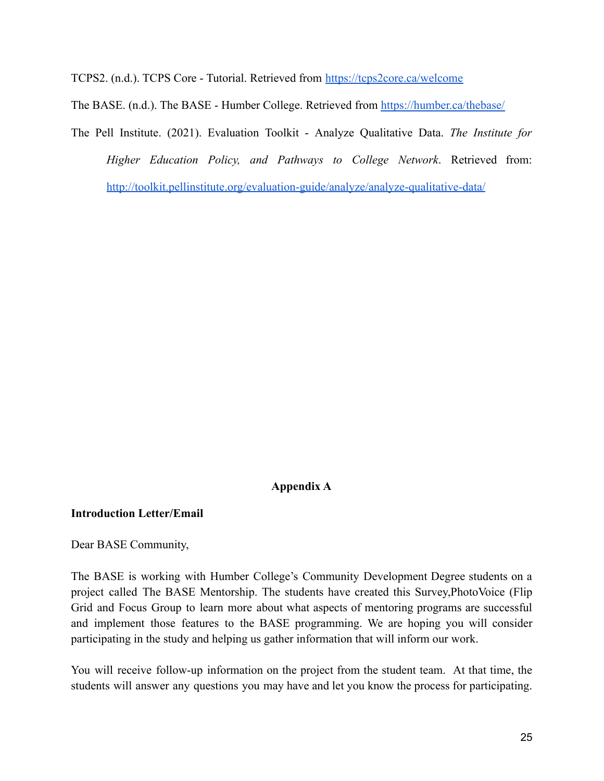TCPS2. (n.d.). TCPS Core - Tutorial. Retrieved from <https://tcps2core.ca/welcome>

The BASE. (n.d.). The BASE - Humber College. Retrieved from <https://humber.ca/thebase/>

The Pell Institute. (2021). Evaluation Toolkit - Analyze Qualitative Data. *The Institute for Higher Education Policy, and Pathways to College Network*. Retrieved from: <http://toolkit.pellinstitute.org/evaluation-guide/analyze/analyze-qualitative-data/>

# **Appendix A**

## **Introduction Letter/Email**

Dear BASE Community,

The BASE is working with Humber College's Community Development Degree students on a project called The BASE Mentorship. The students have created this Survey,PhotoVoice (Flip Grid and Focus Group to learn more about what aspects of mentoring programs are successful and implement those features to the BASE programming. We are hoping you will consider participating in the study and helping us gather information that will inform our work.

You will receive follow-up information on the project from the student team. At that time, the students will answer any questions you may have and let you know the process for participating.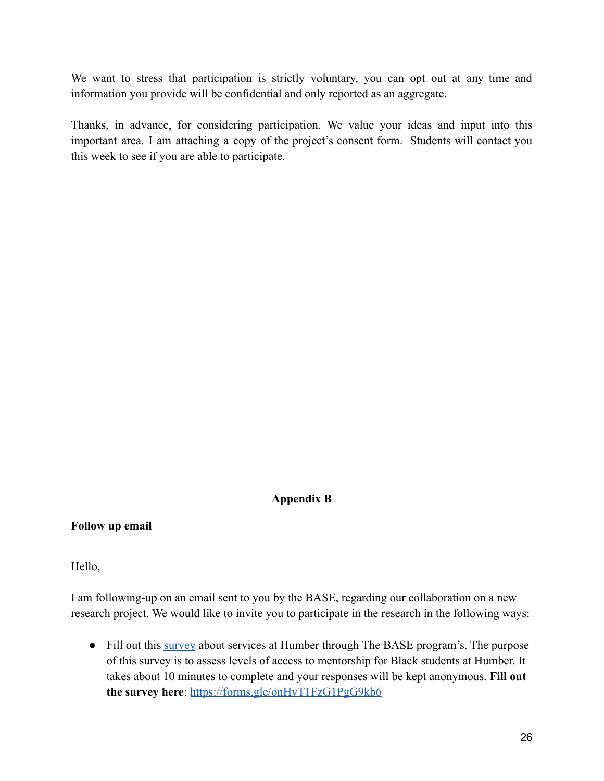We want to stress that participation is strictly voluntary, you can opt out at any time and information you provide will be confidential and only reported as an aggregate.

Thanks, in advance, for considering participation. We value your ideas and input into this important area. I am attaching a copy of the project's consent form. Students will contact you this week to see if you are able to participate.

# **Appendix B**

**Follow up email**

Hello,

I am following-up on an email sent to you by the BASE, regarding our collaboration on a new research project. We would like to invite you to participate in the research in the following ways:

• Fill out this [survey](https://forms.gle/onHvT1FzG1PgG9kb6) about services at Humber through The BASE program's. The purpose of this survey is to assess levels of access to mentorship for Black students at Humber. It takes about 10 minutes to complete and your responses will be kept anonymous. **Fill out the survey here**: <https://forms.gle/onHvT1FzG1PgG9kb6>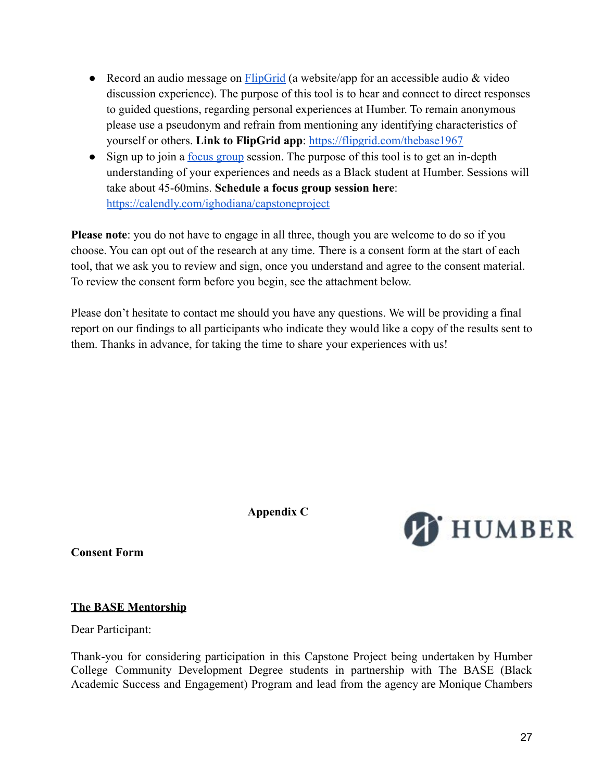- Record an audio message on [FlipGrid](https://flipgrid.com/thebase1967) (a website/app for an accessible audio  $\&$  video discussion experience). The purpose of this tool is to hear and connect to direct responses to guided questions, regarding personal experiences at Humber. To remain anonymous please use a pseudonym and refrain from mentioning any identifying characteristics of yourself or others. **Link to FlipGrid app**: <https://flipgrid.com/thebase1967>
- Sign up to join a <u>[focus group](https://calendly.com/ighodiana/capstoneproject)</u> session. The purpose of this tool is to get an in-depth understanding of your experiences and needs as a Black student at Humber. Sessions will take about 45-60mins. **Schedule a focus group session here**: <https://calendly.com/ighodiana/capstoneproject>

**Please note**: you do not have to engage in all three, though you are welcome to do so if you choose. You can opt out of the research at any time. There is a consent form at the start of each tool, that we ask you to review and sign, once you understand and agree to the consent material. To review the consent form before you begin, see the attachment below.

Please don't hesitate to contact me should you have any questions. We will be providing a final report on our findings to all participants who indicate they would like a copy of the results sent to them. Thanks in advance, for taking the time to share your experiences with us!

**Appendix C**



**Consent Form**

# **The BASE Mentorship**

Dear Participant:

Thank-you for considering participation in this Capstone Project being undertaken by Humber College Community Development Degree students in partnership with The BASE (Black Academic Success and Engagement) Program and lead from the agency are Monique Chambers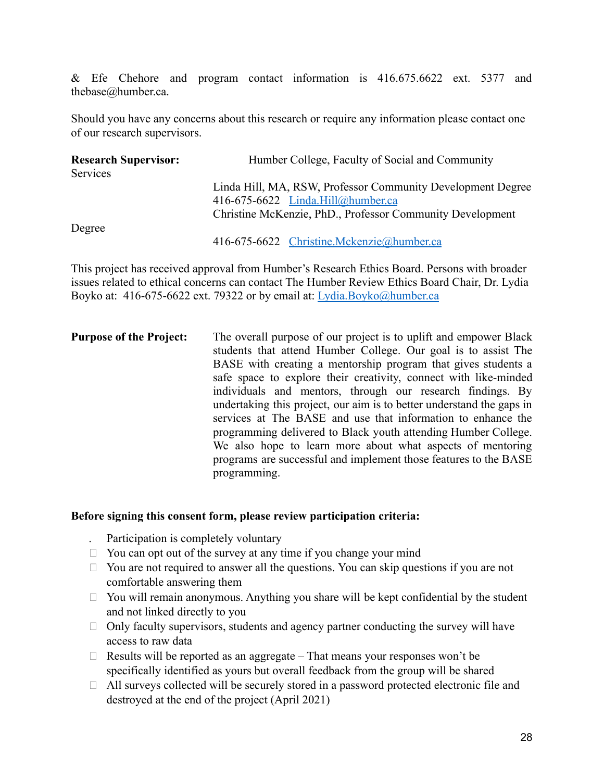& Efe Chehore and program contact information is 416.675.6622 ext. 5377 and thebase@humber.ca.

Should you have any concerns about this research or require any information please contact one of our research supervisors.

| <b>Research Supervisor:</b><br>Services | Humber College, Faculty of Social and Community                                                                                                               |  |
|-----------------------------------------|---------------------------------------------------------------------------------------------------------------------------------------------------------------|--|
|                                         | Linda Hill, MA, RSW, Professor Community Development Degree<br>416-675-6622 Linda.Hill@humber.ca<br>Christine McKenzie, PhD., Professor Community Development |  |
| Degree                                  | 416-675-6622 Christine.Mckenzie@humber.ca                                                                                                                     |  |

This project has received approval from Humber's Research Ethics Board. Persons with broader issues related to ethical concerns can contact The Humber Review Ethics Board Chair, Dr. Lydia Boyko at: 416-675-6622 ext. 79322 or by email at: [Lydia.Boyko@humber.ca](mailto:Lydia.Boyko@humber.ca)

**Purpose of the Project:** The overall purpose of our project is to uplift and empower Black students that attend Humber College. Our goal is to assist The BASE with creating a mentorship program that gives students a safe space to explore their creativity, connect with like-minded individuals and mentors, through our research findings. By undertaking this project, our aim is to better understand the gaps in services at The BASE and use that information to enhance the programming delivered to Black youth attending Humber College. We also hope to learn more about what aspects of mentoring programs are successful and implement those features to the BASE programming.

# **Before signing this consent form, please review participation criteria:**

- Participation is completely voluntary
- $\Box$  You can opt out of the survey at any time if you change your mind
- $\Box$  You are not required to answer all the questions. You can skip questions if you are not comfortable answering them
- $\Box$  You will remain anonymous. Anything you share will be kept confidential by the student and not linked directly to you
- $\Box$  Only faculty supervisors, students and agency partner conducting the survey will have access to raw data
- $\Box$  Results will be reported as an aggregate That means your responses won't be specifically identified as yours but overall feedback from the group will be shared
- $\Box$  All surveys collected will be securely stored in a password protected electronic file and destroyed at the end of the project (April 2021)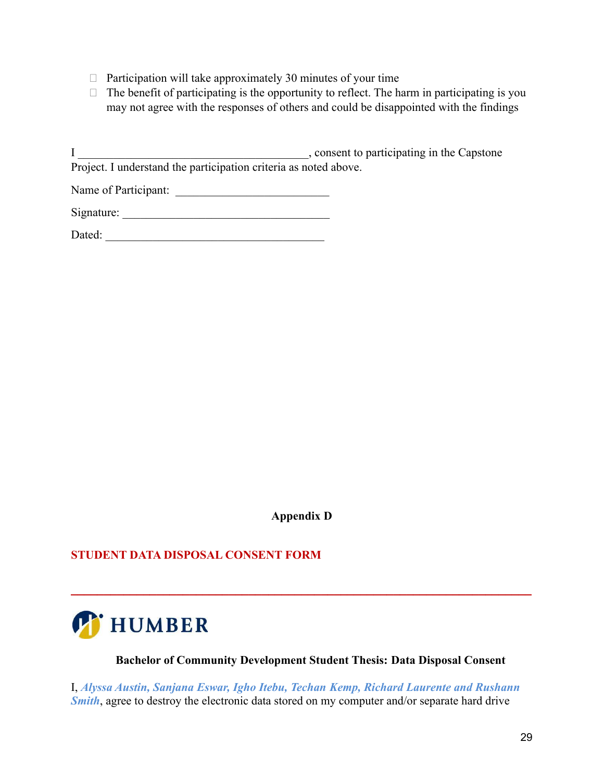- $\Box$  Participation will take approximately 30 minutes of your time
- $\Box$  The benefit of participating is the opportunity to reflect. The harm in participating is you may not agree with the responses of others and could be disappointed with the findings

I \_\_\_\_\_\_\_\_\_\_\_\_\_\_\_\_\_\_\_\_\_\_\_\_\_\_\_\_\_\_\_\_\_\_\_\_\_\_\_, consent to participating in the Capstone Project. I understand the participation criteria as noted above.

Name of Participant: \_\_\_\_\_\_\_\_\_\_\_\_\_\_\_\_\_\_\_\_\_\_\_\_\_\_

| Signature: |  |
|------------|--|

| Dated: |
|--------|
|--------|

**Appendix D**

**\_\_\_\_\_\_\_\_\_\_\_\_\_\_\_\_\_\_\_\_\_\_\_\_\_\_\_\_\_\_\_\_\_\_\_\_\_\_\_\_\_\_\_\_\_\_\_\_\_\_\_\_\_\_\_\_\_\_\_\_\_\_\_\_\_\_\_\_\_\_**

# **STUDENT DATA DISPOSAL CONSENT FORM**



# **Bachelor of Community Development Student Thesis: Data Disposal Consent**

I, *Alyssa Austin, Sanjana Eswar, Igho Itebu, Techan Kemp, Richard Laurente and Rushann Smith*, agree to destroy the electronic data stored on my computer and/or separate hard drive